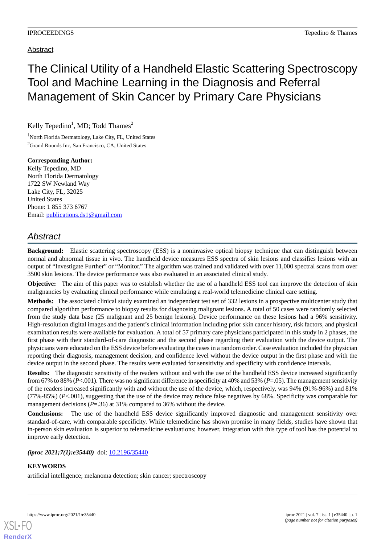# The Clinical Utility of a Handheld Elastic Scattering Spectroscopy Tool and Machine Learning in the Diagnosis and Referral Management of Skin Cancer by Primary Care Physicians

## Kelly Tepedino<sup>1</sup>, MD; Todd Thames<sup>2</sup>

<sup>1</sup>North Florida Dermatology, Lake City, FL, United States <sup>2</sup>Grand Rounds Inc, San Francisco, CA, United States

**Corresponding Author:** Kelly Tepedino, MD North Florida Dermatology 1722 SW Newland Way Lake City, FL, 32025 United States Phone: 1 855 373 6767 Email: [publications.ds1@gmail.com](mailto:publications.ds1@gmail.com)

## *Abstract*

**Background:** Elastic scattering spectroscopy (ESS) is a noninvasive optical biopsy technique that can distinguish between normal and abnormal tissue in vivo. The handheld device measures ESS spectra of skin lesions and classifies lesions with an output of "Investigate Further" or "Monitor." The algorithm was trained and validated with over 11,000 spectral scans from over 3500 skin lesions. The device performance was also evaluated in an associated clinical study.

**Objective:** The aim of this paper was to establish whether the use of a handheld ESS tool can improve the detection of skin malignancies by evaluating clinical performance while emulating a real-world telemedicine clinical care setting.

**Methods:** The associated clinical study examined an independent test set of 332 lesions in a prospective multicenter study that compared algorithm performance to biopsy results for diagnosing malignant lesions. A total of 50 cases were randomly selected from the study data base (25 malignant and 25 benign lesions). Device performance on these lesions had a 96% sensitivity. High-resolution digital images and the patient's clinical information including prior skin cancer history, risk factors, and physical examination results were available for evaluation. A total of 57 primary care physicians participated in this study in 2 phases, the first phase with their standard-of-care diagnostic and the second phase regarding their evaluation with the device output. The physicians were educated on the ESS device before evaluating the cases in a random order. Case evaluation included the physician reporting their diagnosis, management decision, and confidence level without the device output in the first phase and with the device output in the second phase. The results were evaluated for sensitivity and specificity with confidence intervals.

**Results:** The diagnostic sensitivity of the readers without and with the use of the handheld ESS device increased significantly from 67% to 88% (*P*<.001). There was no significant difference in specificity at 40% and 53% (*P*=.05). The management sensitivity of the readers increased significantly with and without the use of the device, which, respectively, was 94% (91%-96%) and 81% (77%-85%) (*P*<.001), suggesting that the use of the device may reduce false negatives by 68%. Specificity was comparable for management decisions ( $P = .36$ ) at 31% compared to 36% without the device.

**Conclusions:** The use of the handheld ESS device significantly improved diagnostic and management sensitivity over standard-of-care, with comparable specificity. While telemedicine has shown promise in many fields, studies have shown that in-person skin evaluation is superior to telemedicine evaluations; however, integration with this type of tool has the potential to improve early detection.

*(iproc 2021;7(1):e35440)* doi:  $10.2196/35440$ 

### **KEYWORDS**

artificial intelligence; melanoma detection; skin cancer; spectroscopy